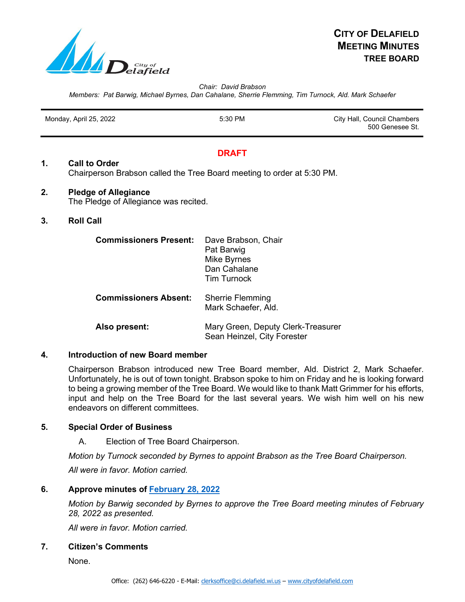

*Chair: David Brabson*

*Members: Pat Barwig, Michael Byrnes, Dan Cahalane, Sherrie Flemming, Tim Turnock, Ald. Mark Schaefer*

Monday, April 25, 2022 **5:30 PM** 5:30 PM City Hall, Council Chambers 500 Genesee St. **DRAFT 1. Call to Order** Chairperson Brabson called the Tree Board meeting to order at 5:30 PM. **2. Pledge of Allegiance** The Pledge of Allegiance was recited. **3. Roll Call Commissioners Present:** Dave Brabson, Chair Pat Barwig Mike Byrnes Dan Cahalane Tim Turnock **Commissioners Absent:** Sherrie Flemming Mark Schaefer, Ald. **Also present:** Mary Green, Deputy Clerk-Treasurer Sean Heinzel, City Forester

## **4. Introduction of new Board member**

Chairperson Brabson introduced new Tree Board member, Ald. District 2, Mark Schaefer. Unfortunately, he is out of town tonight. Brabson spoke to him on Friday and he is looking forward to being a growing member of the Tree Board. We would like to thank Matt Grimmer for his efforts, input and help on the Tree Board for the last several years. We wish him well on his new endeavors on different committees.

## **5. Special Order of Business**

A. Election of Tree Board Chairperson.

*Motion by Turnock seconded by Byrnes to appoint Brabson as the Tree Board Chairperson.*

*All were in favor. Motion carried.*

# **6. Approve minutes of [February 28, 2022](https://www.cityofdelafield.com/AgendaCenter/ViewFile/Minutes/_02282022-625)**

*Motion by Barwig seconded by Byrnes to approve the Tree Board meeting minutes of February 28, 2022 as presented.* 

*All were in favor. Motion carried.*

## **7. Citizen's Comments**

None.